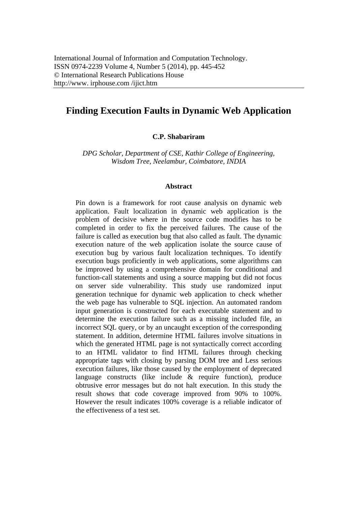# **Finding Execution Faults in Dynamic Web Application**

**C.P. Shabariram** 

*DPG Scholar, Department of CSE, Kathir College of Engineering, Wisdom Tree, Neelambur, Coimbatore, INDIA* 

#### **Abstract**

Pin down is a framework for root cause analysis on dynamic web application. Fault localization in dynamic web application is the problem of decisive where in the source code modifies has to be completed in order to fix the perceived failures. The cause of the failure is called as execution bug that also called as fault. The dynamic execution nature of the web application isolate the source cause of execution bug by various fault localization techniques. To identify execution bugs proficiently in web applications, some algorithms can be improved by using a comprehensive domain for conditional and function-call statements and using a source mapping but did not focus on server side vulnerability. This study use randomized input generation technique for dynamic web application to check whether the web page has vulnerable to SQL injection. An automated random input generation is constructed for each executable statement and to determine the execution failure such as a missing included file, an incorrect SQL query, or by an uncaught exception of the corresponding statement. In addition, determine HTML failures involve situations in which the generated HTML page is not syntactically correct according to an HTML validator to find HTML failures through checking appropriate tags with closing by parsing DOM tree and Less serious execution failures, like those caused by the employment of deprecated language constructs (like include & require function), produce obtrusive error messages but do not halt execution. In this study the result shows that code coverage improved from 90% to 100%. However the result indicates 100% coverage is a reliable indicator of the effectiveness of a test set.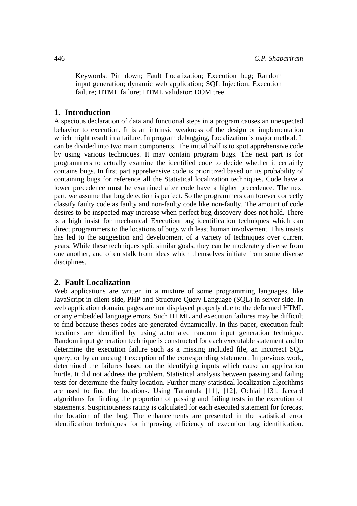Keywords: Pin down; Fault Localization; Execution bug; Random input generation; dynamic web application; SQL Injection; Execution failure; HTML failure; HTML validator; DOM tree.

#### **1. Introduction**

A specious declaration of data and functional steps in a program causes an unexpected behavior to execution. It is an intrinsic weakness of the design or implementation which might result in a failure. In program debugging, Localization is major method. It can be divided into two main components. The initial half is to spot apprehensive code by using various techniques. It may contain program bugs. The next part is for programmers to actually examine the identified code to decide whether it certainly contains bugs. In first part apprehensive code is prioritized based on its probability of containing bugs for reference all the Statistical localization techniques. Code have a lower precedence must be examined after code have a higher precedence. The next part, we assume that bug detection is perfect. So the programmers can forever correctly classify faulty code as faulty and non-faulty code like non-faulty. The amount of code desires to be inspected may increase when perfect bug discovery does not hold. There is a high insist for mechanical Execution bug identification techniques which can direct programmers to the locations of bugs with least human involvement. This insists has led to the suggestion and development of a variety of techniques over current years. While these techniques split similar goals, they can be moderately diverse from one another, and often stalk from ideas which themselves initiate from some diverse disciplines.

## **2. Fault Localization**

Web applications are written in a mixture of some programming languages, like JavaScript in client side, PHP and Structure Query Language (SQL) in server side. In web application domain, pages are not displayed properly due to the deformed HTML or any embedded language errors. Such HTML and execution failures may be difficult to find because theses codes are generated dynamically. In this paper, execution fault locations are identified by using automated random input generation technique. Random input generation technique is constructed for each executable statement and to determine the execution failure such as a missing included file, an incorrect SQL query, or by an uncaught exception of the corresponding statement. In previous work, determined the failures based on the identifying inputs which cause an application hurtle. It did not address the problem. Statistical analysis between passing and failing tests for determine the faulty location. Further many statistical localization algorithms are used to find the locations. Using Tarantula [11], [12], Ochiai [13], Jaccard algorithms for finding the proportion of passing and failing tests in the execution of statements. Suspiciousness rating is calculated for each executed statement for forecast the location of the bug. The enhancements are presented in the statistical error identification techniques for improving efficiency of execution bug identification.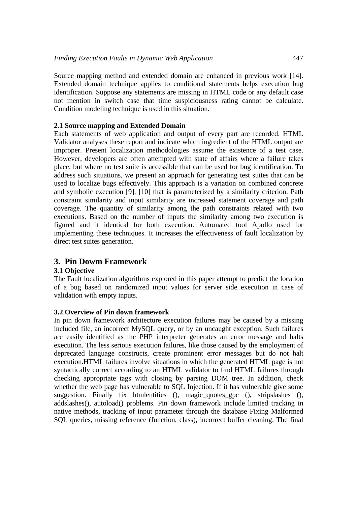Source mapping method and extended domain are enhanced in previous work [14]. Extended domain technique applies to conditional statements helps execution bug identification. Suppose any statements are missing in HTML code or any default case not mention in switch case that time suspiciousness rating cannot be calculate. Condition modeling technique is used in this situation.

## **2.1 Source mapping and Extended Domain**

Each statements of web application and output of every part are recorded. HTML Validator analyses these report and indicate which ingredient of the HTML output are improper. Present localization methodologies assume the existence of a test case. However, developers are often attempted with state of affairs where a failure takes place, but where no test suite is accessible that can be used for bug identification. To address such situations, we present an approach for generating test suites that can be used to localize bugs effectively. This approach is a variation on combined concrete and symbolic execution [9], [10] that is parameterized by a similarity criterion. Path constraint similarity and input similarity are increased statement coverage and path coverage. The quantity of similarity among the path constraints related with two executions. Based on the number of inputs the similarity among two execution is figured and it identical for both execution. Automated tool Apollo used for implementing these techniques. It increases the effectiveness of fault localization by direct test suites generation.

# **3. Pin Dowm Framework**

## **3.1 Objective**

The Fault localization algorithms explored in this paper attempt to predict the location of a bug based on randomized input values for server side execution in case of validation with empty inputs.

#### **3.2 Overview of Pin down framework**

In pin down framework architecture execution failures may be caused by a missing included file, an incorrect MySQL query, or by an uncaught exception. Such failures are easily identified as the PHP interpreter generates an error message and halts execution. The less serious execution failures, like those caused by the employment of deprecated language constructs, create prominent error messages but do not halt execution.HTML failures involve situations in which the generated HTML page is not syntactically correct according to an HTML validator to find HTML failures through checking appropriate tags with closing by parsing DOM tree. In addition, check whether the web page has vulnerable to SQL Injection. If it has vulnerable give some suggestion. Finally fix htmlentities (), magic\_quotes\_gpc (), stripslashes (), addslashes(), autoload() problems. Pin down framework include limited tracking in native methods, tracking of input parameter through the database Fixing Malformed SQL queries, missing reference (function, class), incorrect buffer cleaning. The final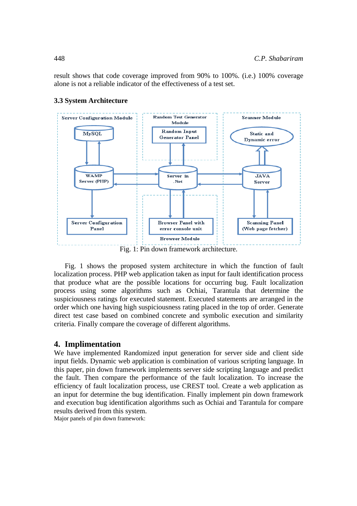result shows that code coverage improved from 90% to 100%. (i.e.) 100% coverage alone is not a reliable indicator of the effectiveness of a test set.

#### **3.3 System Architecture**



Fig. 1: Pin down framework architecture.

Fig. 1 shows the proposed system architecture in which the function of fault localization process. PHP web application taken as input for fault identification process that produce what are the possible locations for occurring bug. Fault localization process using some algorithms such as Ochiai, Tarantula that determine the suspiciousness ratings for executed statement. Executed statements are arranged in the order which one having high suspiciousness rating placed in the top of order. Generate direct test case based on combined concrete and symbolic execution and similarity criteria. Finally compare the coverage of different algorithms.

## **4. Implimentation**

We have implemented Randomized input generation for server side and client side input fields. Dynamic web application is combination of various scripting language. In this paper, pin down framework implements server side scripting language and predict the fault. Then compare the performance of the fault localization. To increase the efficiency of fault localization process, use CREST tool. Create a web application as an input for determine the bug identification. Finally implement pin down framework and execution bug identification algorithms such as Ochiai and Tarantula for compare results derived from this system.

Major panels of pin down framework: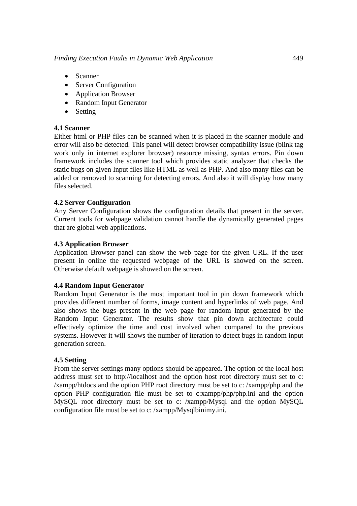- Scanner
- Server Configuration
- Application Browser
- Random Input Generator
- Setting

# **4.1 Scanner**

Either html or PHP files can be scanned when it is placed in the scanner module and error will also be detected. This panel will detect browser compatibility issue (blink tag work only in internet explorer browser) resource missing, syntax errors. Pin down framework includes the scanner tool which provides static analyzer that checks the static bugs on given Input files like HTML as well as PHP. And also many files can be added or removed to scanning for detecting errors. And also it will display how many files selected.

# **4.2 Server Configuration**

Any Server Configuration shows the configuration details that present in the server. Current tools for webpage validation cannot handle the dynamically generated pages that are global web applications.

# **4.3 Application Browser**

Application Browser panel can show the web page for the given URL. If the user present in online the requested webpage of the URL is showed on the screen. Otherwise default webpage is showed on the screen.

## **4.4 Random Input Generator**

Random Input Generator is the most important tool in pin down framework which provides different number of forms, image content and hyperlinks of web page. And also shows the bugs present in the web page for random input generated by the Random Input Generator. The results show that pin down architecture could effectively optimize the time and cost involved when compared to the previous systems. However it will shows the number of iteration to detect bugs in random input generation screen.

## **4.5 Setting**

From the server settings many options should be appeared. The option of the local host address must set to http://localhost and the option host root directory must set to c: /xampp/htdocs and the option PHP root directory must be set to c: /xampp/php and the option PHP configuration file must be set to c:xampp/php/php.ini and the option MySQL root directory must be set to c: /xampp/Mysql and the option MySQL configuration file must be set to c: /xampp/Mysqlbinimy.ini.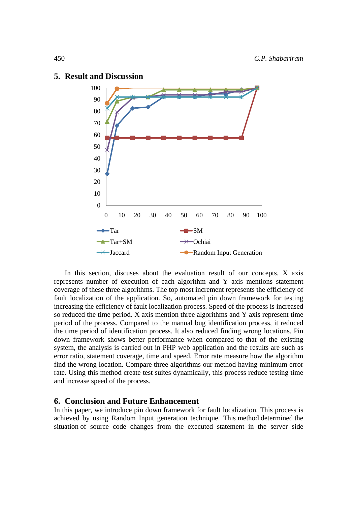

#### **5. Result and Discussion**

In this section, discuses about the evaluation result of our concepts. X axis represents number of execution of each algorithm and Y axis mentions statement coverage of these three algorithms. The top most increment represents the efficiency of fault localization of the application. So, automated pin down framework for testing increasing the efficiency of fault localization process. Speed of the process is increased so reduced the time period. X axis mention three algorithms and Y axis represent time period of the process. Compared to the manual bug identification process, it reduced the time period of identification process. It also reduced finding wrong locations. Pin down framework shows better performance when compared to that of the existing system, the analysis is carried out in PHP web application and the results are such as error ratio, statement coverage, time and speed. Error rate measure how the algorithm find the wrong location. Compare three algorithms our method having minimum error rate. Using this method create test suites dynamically, this process reduce testing time and increase speed of the process.

#### **6. Conclusion and Future Enhancement**

In this paper, we introduce pin down framework for fault localization. This process is achieved by using Random Input generation technique. This method determined the situation of source code changes from the executed statement in the server side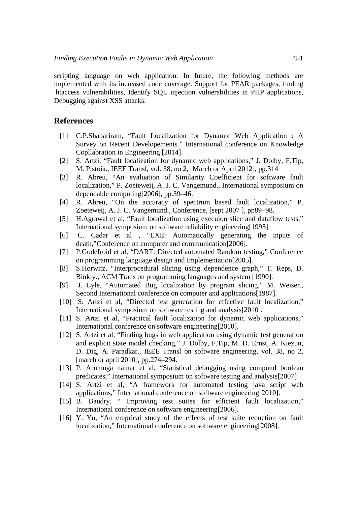scripting language on web application. In future, the following methods are implemented with its increased code coverage. Support for PEAR packages, finding .htaccess vulnerabilities, Identify SQL injection vulnerabilities in PHP applications, Debugging against XSS attacks.

#### **References**

- [1] C.P.Shabariram, "Fault Localization for Dynamic Web Application : A Survey on Recent Developements." International conference on Knowledge Copllabration in Engineering [2014].
- [2] S. Artzi, "Fault localization for dynamic web applications," J. Dolby, F.Tip, M. Pistoia., IEEE Transl, vol. 38, no 2, [March or April 2012], pp.314
- [3] R. Abreu, "An evaluation of Similarity Coefficient for software fault localization," P. Zoeteweij, A. J. C. Vangemund., International symposium on dependable computing[2006], pp.39–46.
- [4] R. Abreu, "On the accuracy of spectrum based fault localization," P. Zoeteweij, A. J. C. Vangemund., Conference, [sept 2007 ], pp89–98.
- [5] H.Agrawal et al, "Fault localization using execuion slice and dataflow tests," International symposium on software reliability engineering[1995]
- [6] C. Cadar et al , "EXE: Automatically generating the inputs of death,"Conference on computer and communication[2006].
- [7] P.Godefroid et al, "DART: Directed automated Random testing," Conference on programming language design and Implementation[2005].
- [8] S.Horwitz, "Interprocedural slicing using dependence graph," T. Reps, D. Binkly., ACM Trans on programming languages and system [1990].
- [9] J. Lyle, "Automated Bug localization by program slicing," M. Weiser., Second International conference on computer and applications [1987].
- [10] S. Artzi et al, "Directed test generation for effective fault localization," International symposium on software testing and analysis[2010].
- [11] S. Artzi et al, "Practical fault localization for dynamic web applications," International conference on software engineering[2010].
- [12] S. Artzi et al, "Finding bugs in web application using dynamic test generation and explicit state model checking," J. Dolby, F.Tip, M. D. Ernst, A. Kiezun, D. Dig, A. Paradkar., IEEE Transl on software engineering, vol. 38, no 2, [march or april 2010], pp.274–294.
- [13] P. Arumuga nainar et al, "Statistical debugging using compund boolean predicates," International symposium on software testing and analysis[2007]
- [14] S. Artzi et al, "A framework for automated testing java script web applications," International conference on software engineering[2010].
- [15] B. Baudry, " Improving test suites for efficient fault localization," International conference on software engineering[2006].
- [16] Y. Yu, "An emprical study of the effects of test suite reduction on fault localization," International conference on software engineering[2008].